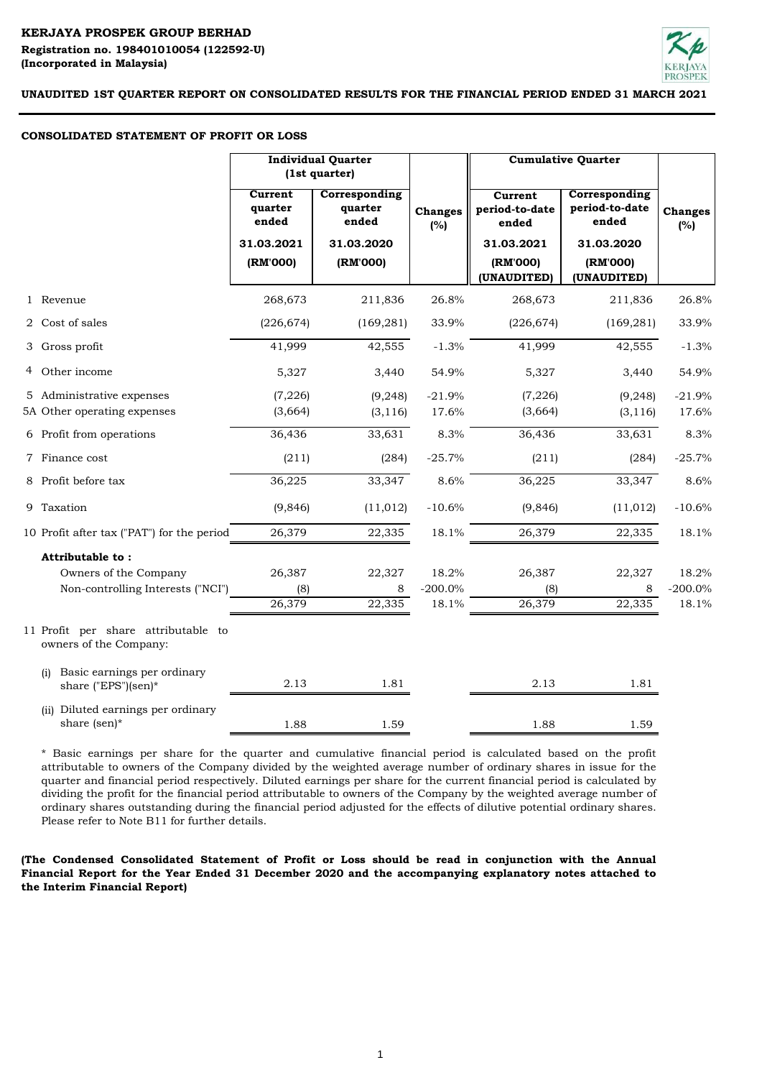

### **UNAUDITED 1ST QUARTER REPORT ON CONSOLIDATED RESULTS FOR THE FINANCIAL PERIOD ENDED 31 MARCH 2021**

#### **CONSOLIDATED STATEMENT OF PROFIT OR LOSS**

|                                                               | <b>Individual Quarter</b><br>(1st quarter) |                                                 |                              | <b>Cumulative Quarter</b>                        |                                                        |                              |
|---------------------------------------------------------------|--------------------------------------------|-------------------------------------------------|------------------------------|--------------------------------------------------|--------------------------------------------------------|------------------------------|
|                                                               | Current<br>quarter<br>ended<br>31.03.2021  | Corresponding<br>quarter<br>ended<br>31.03.2020 | <b>Changes</b><br>(%)        | Current<br>period-to-date<br>ended<br>31.03.2021 | Corresponding<br>period-to-date<br>ended<br>31.03.2020 | <b>Changes</b><br>(%)        |
|                                                               | (RM'000)                                   | (RM'000)                                        |                              | (RM'000)<br>(UNAUDITED)                          | (RM'000)<br>(UNAUDITED)                                |                              |
| 1 Revenue                                                     | 268,673                                    | 211,836                                         | 26.8%                        | 268,673                                          | 211,836                                                | 26.8%                        |
| 2 Cost of sales                                               | (226, 674)                                 | (169, 281)                                      | 33.9%                        | (226, 674)                                       | (169, 281)                                             | 33.9%                        |
| 3 Gross profit                                                | 41,999                                     | 42,555                                          | $-1.3%$                      | 41,999                                           | 42,555                                                 | $-1.3%$                      |
| 4 Other income                                                | 5,327                                      | 3,440                                           | 54.9%                        | 5,327                                            | 3,440                                                  | 54.9%                        |
| 5 Administrative expenses<br>5A Other operating expenses      | (7, 226)<br>(3,664)                        | (9, 248)<br>(3, 116)                            | $-21.9%$<br>17.6%            | (7, 226)<br>(3,664)                              | (9, 248)<br>(3, 116)                                   | $-21.9%$<br>17.6%            |
| 6 Profit from operations                                      | 36,436                                     | 33,631                                          | 8.3%                         | 36,436                                           | 33,631                                                 | 8.3%                         |
| 7 Finance cost                                                | (211)                                      | (284)                                           | $-25.7%$                     | (211)                                            | (284)                                                  | $-25.7%$                     |
| 8 Profit before tax                                           | 36,225                                     | 33,347                                          | 8.6%                         | 36,225                                           | 33,347                                                 | 8.6%                         |
| 9 Taxation                                                    | (9,846)                                    | (11, 012)                                       | $-10.6%$                     | (9, 846)                                         | (11, 012)                                              | $-10.6%$                     |
| 10 Profit after tax ("PAT") for the period                    | 26,379                                     | 22,335                                          | 18.1%                        | 26,379                                           | 22,335                                                 | 18.1%                        |
| Attributable to:                                              |                                            |                                                 |                              |                                                  |                                                        |                              |
| Owners of the Company<br>Non-controlling Interests ("NCI")    | 26,387<br>(8)<br>26,379                    | 22,327<br>8<br>22,335                           | 18.2%<br>$-200.0\%$<br>18.1% | 26,387<br>(8)<br>26,379                          | 22,327<br>8<br>22,335                                  | 18.2%<br>$-200.0\%$<br>18.1% |
| 11 Profit per share attributable to<br>owners of the Company: |                                            |                                                 |                              |                                                  |                                                        |                              |
| Basic earnings per ordinary<br>(i)<br>share ("EPS")(sen)*     | 2.13                                       | 1.81                                            |                              | 2.13                                             | 1.81                                                   |                              |
| (ii) Diluted earnings per ordinary<br>share (sen)*            | 1.88                                       | 1.59                                            |                              | 1.88                                             | 1.59                                                   |                              |

\* Basic earnings per share for the quarter and cumulative financial period is calculated based on the profit attributable to owners of the Company divided by the weighted average number of ordinary shares in issue for the quarter and financial period respectively. Diluted earnings per share for the current financial period is calculated by dividing the profit for the financial period attributable to owners of the Company by the weighted average number of ordinary shares outstanding during the financial period adjusted for the effects of dilutive potential ordinary shares. Please refer to Note B11 for further details.

**(The Condensed Consolidated Statement of Profit or Loss should be read in conjunction with the Annual Financial Report for the Year Ended 31 December 2020 and the accompanying explanatory notes attached to the Interim Financial Report)**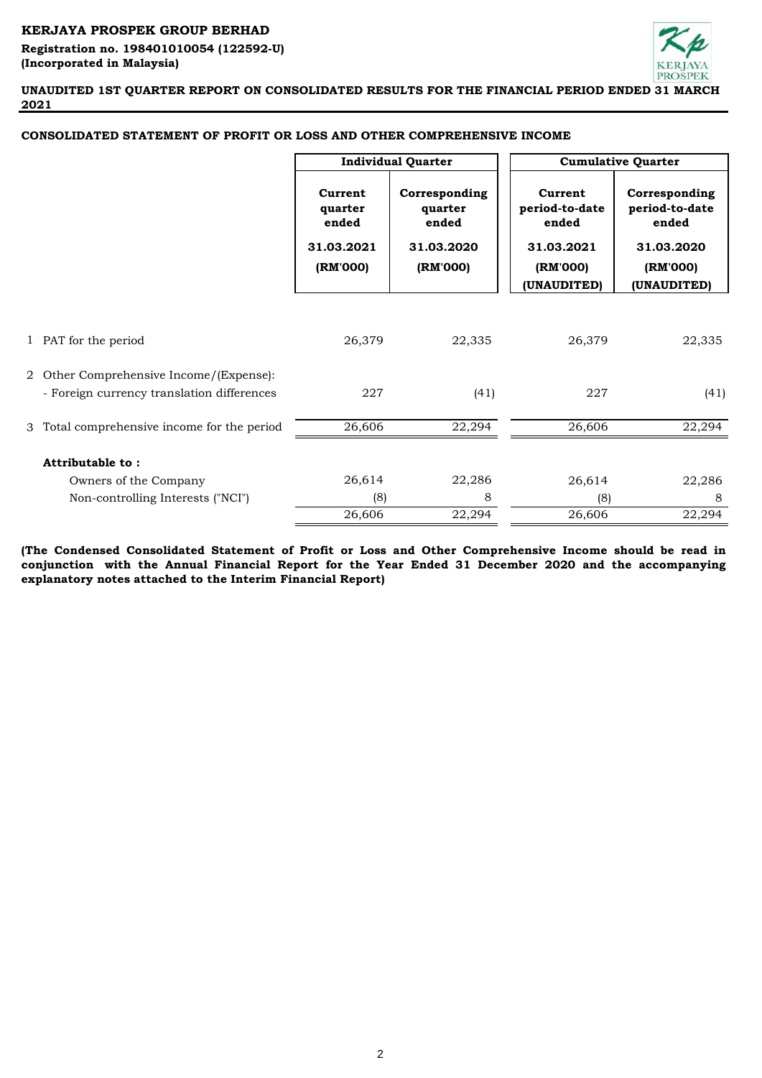**(Incorporated in Malaysia) Registration no. 198401010054 (122592-U)** 



**UNAUDITED 1ST QUARTER REPORT ON CONSOLIDATED RESULTS FOR THE FINANCIAL PERIOD ENDED 31 MARCH 2021**

|                                                                                       |                             | <b>Individual Quarter</b>         | <b>Cumulative Quarter</b>          |                                          |  |  |
|---------------------------------------------------------------------------------------|-----------------------------|-----------------------------------|------------------------------------|------------------------------------------|--|--|
|                                                                                       | Current<br>quarter<br>ended | Corresponding<br>quarter<br>ended | Current<br>period-to-date<br>ended | Corresponding<br>period-to-date<br>ended |  |  |
|                                                                                       | 31.03.2021                  | 31.03.2020                        | 31.03.2021                         | 31.03.2020                               |  |  |
|                                                                                       | (RM'000)                    | (RM'000)                          | (RM'000)                           | (RM'000)                                 |  |  |
|                                                                                       |                             |                                   | (UNAUDITED)                        | (UNAUDITED)                              |  |  |
| 1 PAT for the period                                                                  | 26,379                      | 22,335                            | 26,379                             | 22,335                                   |  |  |
| 2 Other Comprehensive Income/(Expense):<br>- Foreign currency translation differences | 227                         | (41)                              | 227                                | (41)                                     |  |  |
| 3 Total comprehensive income for the period                                           | 26,606                      | 22,294                            | 26,606                             | 22,294                                   |  |  |
| Attributable to:                                                                      |                             |                                   |                                    |                                          |  |  |
| Owners of the Company                                                                 | 26,614                      | 22,286                            | 26,614                             | 22,286                                   |  |  |
| Non-controlling Interests ("NCI")                                                     | (8)                         | 8                                 | (8)                                | 8                                        |  |  |
|                                                                                       | 26,606                      | 22,294                            | 26,606                             | 22,294                                   |  |  |

## **CONSOLIDATED STATEMENT OF PROFIT OR LOSS AND OTHER COMPREHENSIVE INCOME**

**(The Condensed Consolidated Statement of Profit or Loss and Other Comprehensive Income should be read in conjunction with the Annual Financial Report for the Year Ended 31 December 2020 and the accompanying explanatory notes attached to the Interim Financial Report)**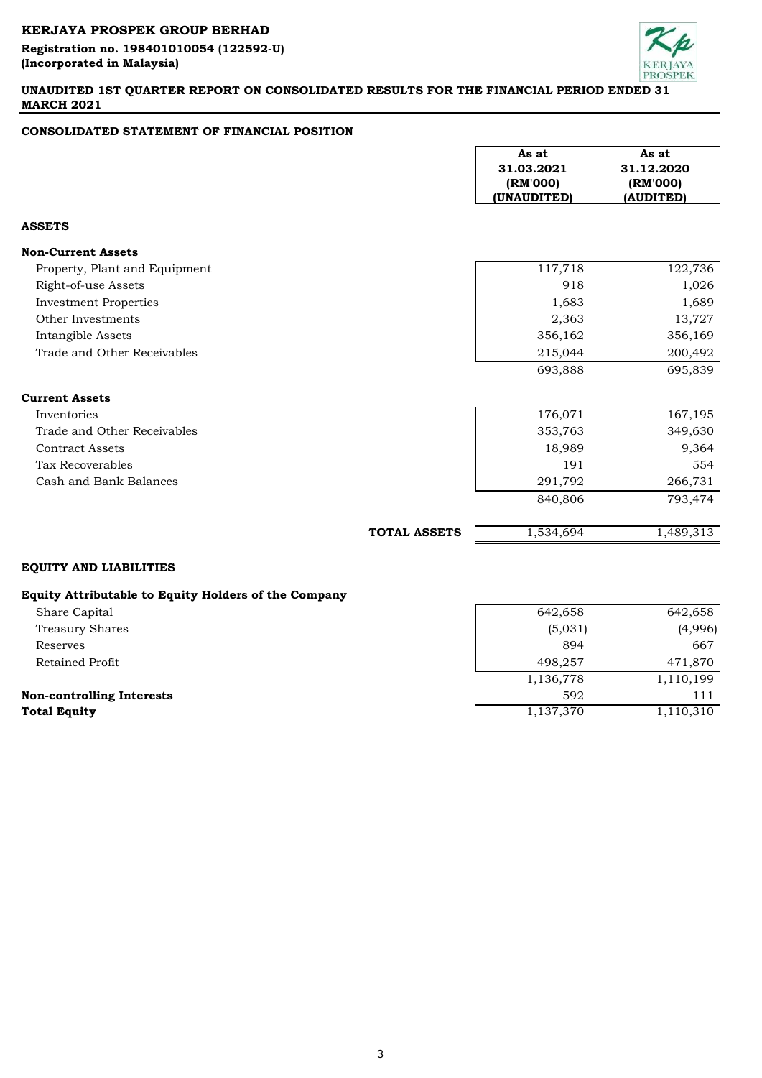**Registration no. 198401010054 (122592-U) (Incorporated in Malaysia)** 



# **UNAUDITED 1ST QUARTER REPORT ON CONSOLIDATED RESULTS FOR THE FINANCIAL PERIOD ENDED 31 MARCH 2021**

 $\mathbf{r}$ 

# **CONSOLIDATED STATEMENT OF FINANCIAL POSITION**

|                                                      | As at<br>31.03.2021<br>(RM'000)<br>(UNAUDITED) | As at<br>31.12.2020<br>(RM'000)<br>(AUDITED) |
|------------------------------------------------------|------------------------------------------------|----------------------------------------------|
| <b>ASSETS</b>                                        |                                                |                                              |
| <b>Non-Current Assets</b>                            |                                                |                                              |
| Property, Plant and Equipment                        | 117,718                                        | 122,736                                      |
| Right-of-use Assets                                  | 918                                            | 1,026                                        |
| <b>Investment Properties</b>                         | 1,683                                          | 1,689                                        |
| Other Investments                                    | 2,363                                          | 13,727                                       |
| Intangible Assets                                    | 356,162                                        | 356,169                                      |
| Trade and Other Receivables                          | 215,044                                        | 200,492                                      |
|                                                      | 693,888                                        | 695,839                                      |
| <b>Current Assets</b>                                |                                                |                                              |
| Inventories                                          | 176,071                                        | 167,195                                      |
| Trade and Other Receivables                          | 353,763                                        | 349,630                                      |
| <b>Contract Assets</b>                               | 18,989                                         | 9,364                                        |
| <b>Tax Recoverables</b>                              | 191                                            | 554                                          |
| Cash and Bank Balances                               | 291,792                                        | 266,731                                      |
|                                                      | 840,806                                        | 793,474                                      |
| <b>TOTAL ASSETS</b>                                  | 1,534,694                                      | 1,489,313                                    |
| <b>EQUITY AND LIABILITIES</b>                        |                                                |                                              |
| Equity Attributable to Equity Holders of the Company |                                                |                                              |

| Share Capital                    | 642,658   | 642,658   |
|----------------------------------|-----------|-----------|
| <b>Treasury Shares</b>           | (5,031)   | (4,996)   |
| Reserves                         | 894       | 667       |
| Retained Profit                  | 498,257   | 471,870   |
|                                  | 1,136,778 | 1,110,199 |
| <b>Non-controlling Interests</b> | 592       | 111       |
| <b>Total Equity</b>              | 1,137,370 | 1,110,310 |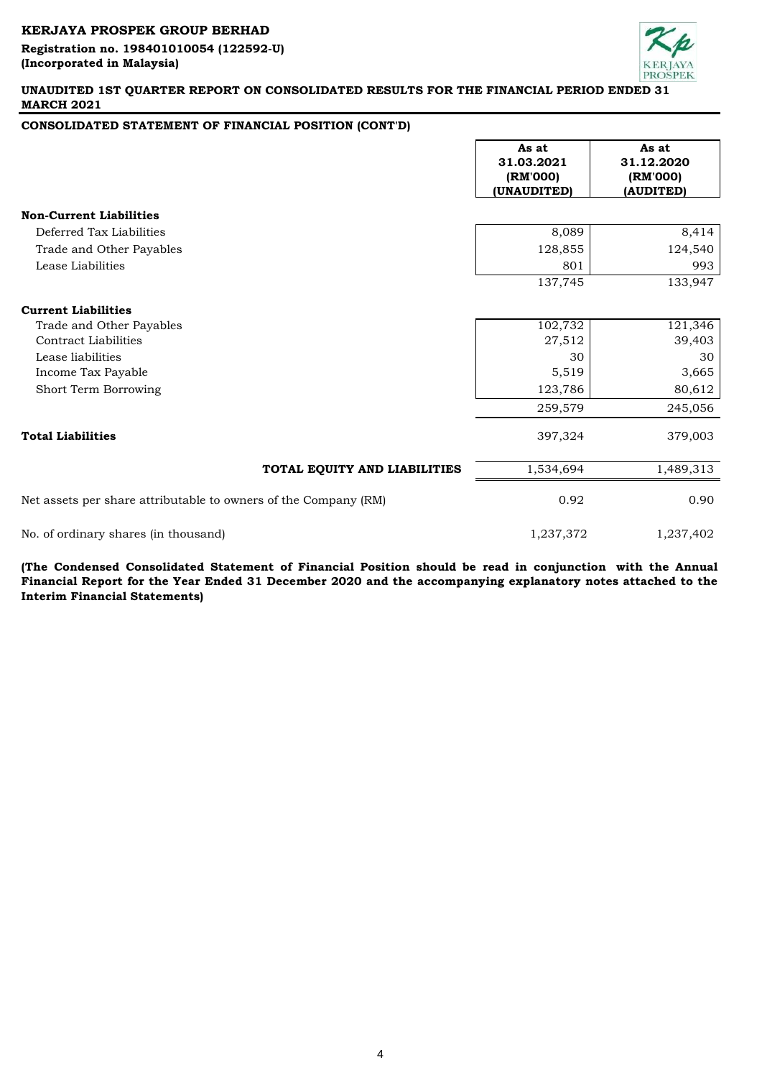**Registration no. 198401010054 (122592-U) (Incorporated in Malaysia)** 



# **UNAUDITED 1ST QUARTER REPORT ON CONSOLIDATED RESULTS FOR THE FINANCIAL PERIOD ENDED 31 MARCH 2021**

## **CONSOLIDATED STATEMENT OF FINANCIAL POSITION (CONT'D)**

|                                                                 | As at<br>31.03.2021<br>(RM'000)<br>(UNAUDITED) | As at<br>31.12.2020<br>(RM'000)<br>(AUDITED) |
|-----------------------------------------------------------------|------------------------------------------------|----------------------------------------------|
| <b>Non-Current Liabilities</b>                                  |                                                |                                              |
| Deferred Tax Liabilities                                        | 8,089                                          | 8,414                                        |
| Trade and Other Payables                                        | 128,855                                        | 124,540                                      |
| Lease Liabilities                                               | 801                                            | 993                                          |
|                                                                 | 137,745                                        | 133,947                                      |
| <b>Current Liabilities</b>                                      |                                                |                                              |
| Trade and Other Payables                                        | 102,732                                        | 121,346                                      |
| <b>Contract Liabilities</b>                                     | 27,512                                         | 39,403                                       |
| Lease liabilities                                               | 30                                             | 30                                           |
| Income Tax Payable                                              | 5,519                                          | 3,665                                        |
| Short Term Borrowing                                            | 123,786                                        | 80,612                                       |
|                                                                 | 259,579                                        | 245,056                                      |
| <b>Total Liabilities</b>                                        | 397,324                                        | 379,003                                      |
| TOTAL EQUITY AND LIABILITIES                                    | 1,534,694                                      | 1,489,313                                    |
| Net assets per share attributable to owners of the Company (RM) | 0.92                                           | 0.90                                         |
| No. of ordinary shares (in thousand)                            | 1,237,372                                      | 1,237,402                                    |

**(The Condensed Consolidated Statement of Financial Position should be read in conjunction with the Annual** Financial Report for the Year Ended 31 December 2020 and the accompanying explanatory notes attached to the **Interim Financial Statements)**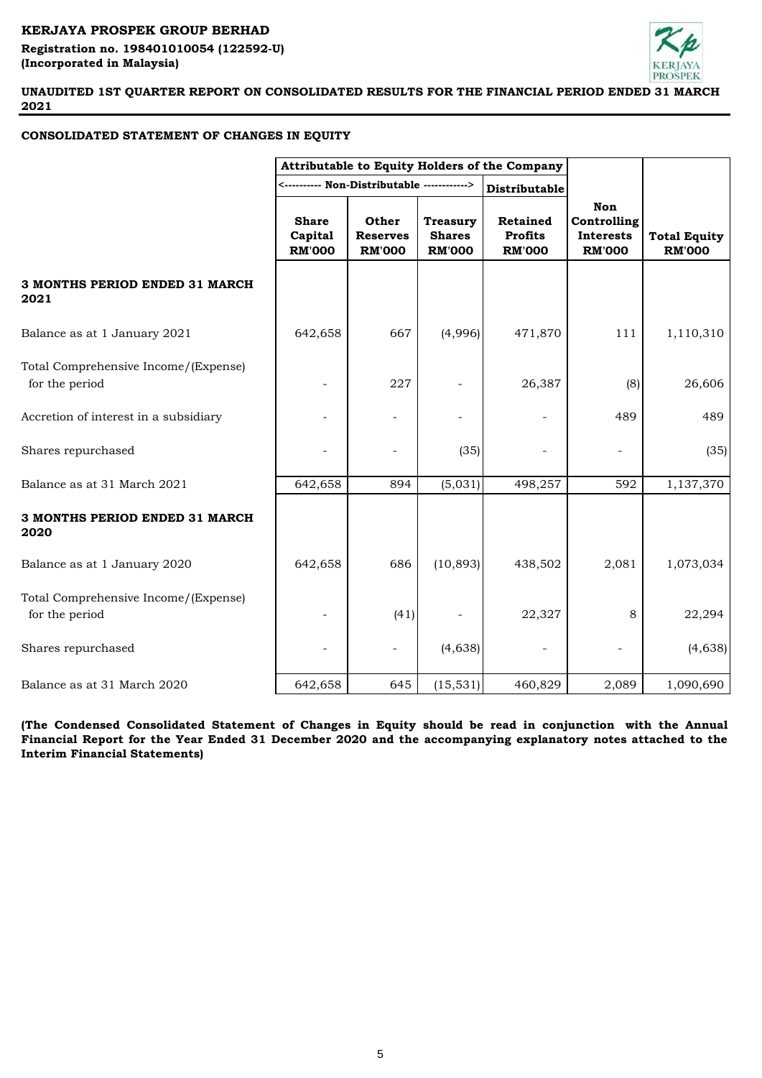**Registration no. 198401010054 (122592-U) (Incorporated in Malaysia)** 



**UNAUDITED 1ST QUARTER REPORT ON CONSOLIDATED RESULTS FOR THE FINANCIAL PERIOD ENDED 31 MARCH 2021**

### **CONSOLIDATED STATEMENT OF CHANGES IN EQUITY**

|                                                        | Attributable to Equity Holders of the Company |                                           |                                                   |                                             |                                                                |                                      |
|--------------------------------------------------------|-----------------------------------------------|-------------------------------------------|---------------------------------------------------|---------------------------------------------|----------------------------------------------------------------|--------------------------------------|
|                                                        |                                               |                                           |                                                   | <b>Distributable</b>                        |                                                                |                                      |
|                                                        | <b>Share</b><br>Capital<br><b>RM'000</b>      | Other<br><b>Reserves</b><br><b>RM'000</b> | <b>Treasury</b><br><b>Shares</b><br><b>RM'000</b> | Retained<br><b>Profits</b><br><b>RM'000</b> | <b>Non</b><br>Controlling<br><b>Interests</b><br><b>RM'000</b> | <b>Total Equity</b><br><b>RM'000</b> |
| 3 MONTHS PERIOD ENDED 31 MARCH<br>2021                 |                                               |                                           |                                                   |                                             |                                                                |                                      |
| Balance as at 1 January 2021                           | 642,658                                       | 667                                       | (4,996)                                           | 471,870                                     | 111                                                            | 1,110,310                            |
| Total Comprehensive Income/(Expense)<br>for the period |                                               | 227                                       |                                                   | 26,387                                      | (8)                                                            | 26,606                               |
| Accretion of interest in a subsidiary                  |                                               |                                           |                                                   |                                             | 489                                                            | 489                                  |
| Shares repurchased                                     |                                               |                                           | (35)                                              |                                             |                                                                | (35)                                 |
| Balance as at 31 March 2021                            | 642,658                                       | 894                                       | (5,031)                                           | 498,257                                     | 592                                                            | 1,137,370                            |
| 3 MONTHS PERIOD ENDED 31 MARCH<br>2020                 |                                               |                                           |                                                   |                                             |                                                                |                                      |
| Balance as at 1 January 2020                           | 642,658                                       | 686                                       | (10, 893)                                         | 438,502                                     | 2,081                                                          | 1,073,034                            |
| Total Comprehensive Income/(Expense)<br>for the period |                                               | (41)                                      |                                                   | 22,327                                      | 8                                                              | 22,294                               |
| Shares repurchased                                     |                                               |                                           | (4,638)                                           |                                             |                                                                | (4,638)                              |
| Balance as at 31 March 2020                            | 642,658                                       | 645                                       | (15, 531)                                         | 460,829                                     | 2,089                                                          | 1,090,690                            |

**(The Condensed Consolidated Statement of Changes in Equity should be read in conjunction with the Annual** Financial Report for the Year Ended 31 December 2020 and the accompanying explanatory notes attached to the **Interim Financial Statements)**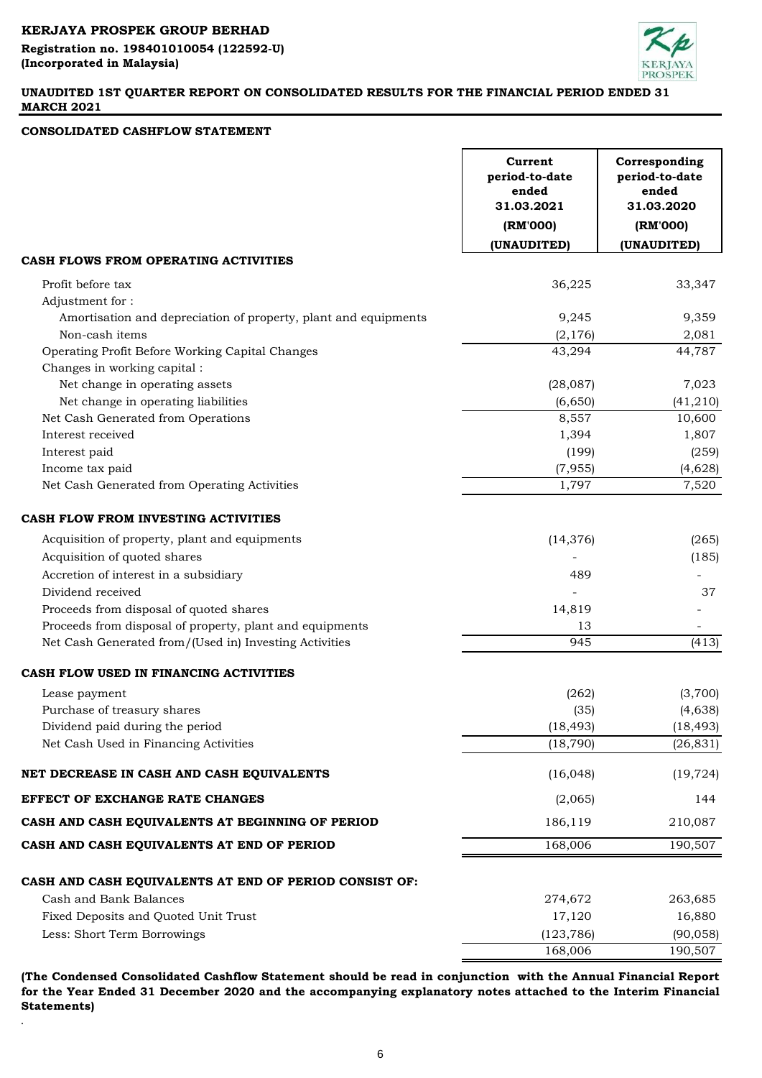**Registration no. 198401010054 (122592-U) (Incorporated in Malaysia)** 



# **UNAUDITED 1ST QUARTER REPORT ON CONSOLIDATED RESULTS FOR THE FINANCIAL PERIOD ENDED 31 MARCH 2021**

# **CONSOLIDATED CASHFLOW STATEMENT**

.

|                                                                           | Current<br>period-to-date<br>ended<br>31.03.2021<br>(RM'000)<br>(UNAUDITED) | Corresponding<br>period-to-date<br>ended<br>31.03.2020<br>(RM'000)<br>(UNAUDITED) |
|---------------------------------------------------------------------------|-----------------------------------------------------------------------------|-----------------------------------------------------------------------------------|
| CASH FLOWS FROM OPERATING ACTIVITIES                                      |                                                                             |                                                                                   |
| Profit before tax                                                         | 36,225                                                                      | 33,347                                                                            |
| Adjustment for:                                                           |                                                                             |                                                                                   |
| Amortisation and depreciation of property, plant and equipments           | 9,245                                                                       | 9,359                                                                             |
| Non-cash items                                                            | (2, 176)                                                                    | 2,081                                                                             |
| Operating Profit Before Working Capital Changes                           | 43,294                                                                      | 44,787                                                                            |
| Changes in working capital:                                               |                                                                             |                                                                                   |
| Net change in operating assets                                            | (28,087)<br>(6,650)                                                         | 7,023                                                                             |
| Net change in operating liabilities<br>Net Cash Generated from Operations | 8,557                                                                       | (41, 210)<br>10,600                                                               |
| Interest received                                                         | 1,394                                                                       | 1,807                                                                             |
| Interest paid                                                             | (199)                                                                       | (259)                                                                             |
| Income tax paid                                                           | (7, 955)                                                                    | (4,628)                                                                           |
| Net Cash Generated from Operating Activities                              | 1,797                                                                       | 7,520                                                                             |
| CASH FLOW FROM INVESTING ACTIVITIES                                       |                                                                             |                                                                                   |
| Acquisition of property, plant and equipments                             | (14, 376)                                                                   | (265)                                                                             |
| Acquisition of quoted shares                                              |                                                                             | (185)                                                                             |
| Accretion of interest in a subsidiary                                     | 489                                                                         |                                                                                   |
| Dividend received                                                         |                                                                             | 37                                                                                |
| Proceeds from disposal of quoted shares                                   | 14,819                                                                      |                                                                                   |
| Proceeds from disposal of property, plant and equipments                  | 13                                                                          |                                                                                   |
| Net Cash Generated from/(Used in) Investing Activities                    | 945                                                                         | (413)                                                                             |
| CASH FLOW USED IN FINANCING ACTIVITIES                                    |                                                                             |                                                                                   |
| Lease payment                                                             | (262)                                                                       | (3,700)                                                                           |
| Purchase of treasury shares                                               | (35)                                                                        | (4,638)                                                                           |
| Dividend paid during the period                                           | (18, 493)                                                                   | (18, 493)                                                                         |
| Net Cash Used in Financing Activities                                     | (18, 790)                                                                   | (26, 831)                                                                         |
| NET DECREASE IN CASH AND CASH EQUIVALENTS                                 | (16, 048)                                                                   | (19, 724)                                                                         |
| EFFECT OF EXCHANGE RATE CHANGES                                           | (2,065)                                                                     | 144                                                                               |
| CASH AND CASH EQUIVALENTS AT BEGINNING OF PERIOD                          | 186,119                                                                     | 210,087                                                                           |
| CASH AND CASH EQUIVALENTS AT END OF PERIOD                                | 168,006                                                                     | 190,507                                                                           |
| CASH AND CASH EQUIVALENTS AT END OF PERIOD CONSIST OF:                    |                                                                             |                                                                                   |
| Cash and Bank Balances                                                    | 274,672                                                                     | 263,685                                                                           |
| Fixed Deposits and Quoted Unit Trust                                      | 17,120                                                                      | 16,880                                                                            |
| Less: Short Term Borrowings                                               | (123, 786)                                                                  | (90, 058)                                                                         |
|                                                                           | 168,006                                                                     | 190,507                                                                           |

**(The Condensed Consolidated Cashflow Statement should be read in conjunction with the Annual Financial Report** for the Year Ended 31 December 2020 and the accompanying explanatory notes attached to the Interim Financial **Statements)**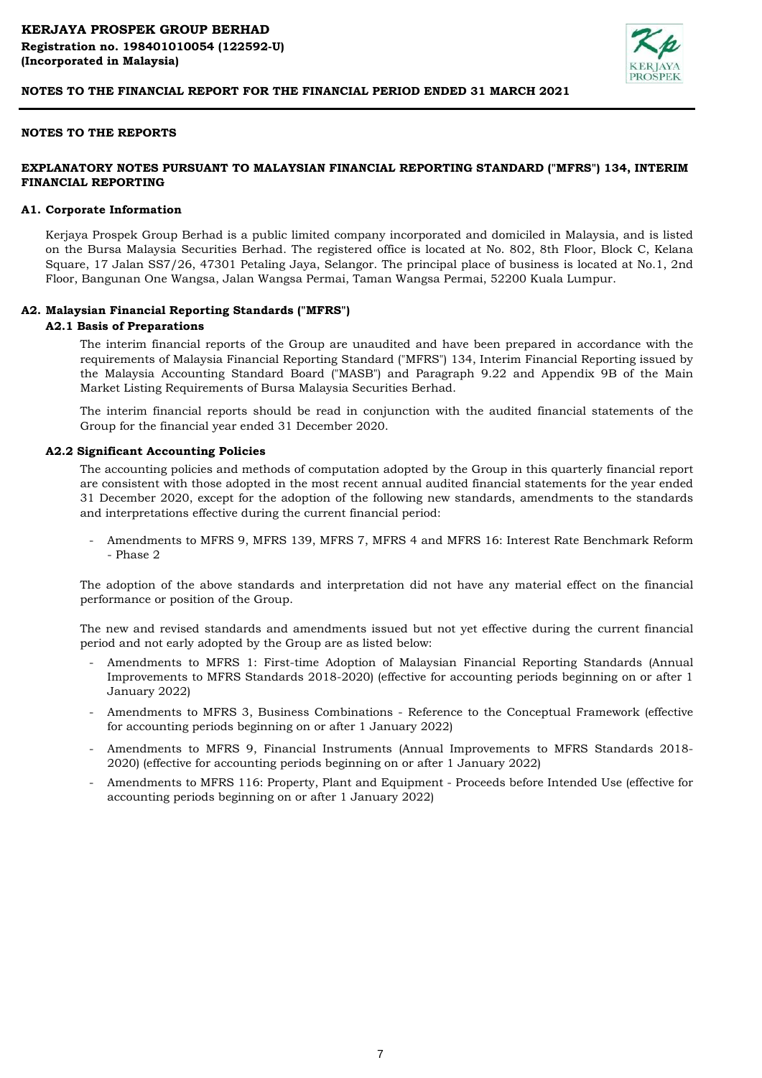

## **NOTES TO THE REPORTS**

## **EXPLANATORY NOTES PURSUANT TO MALAYSIAN FINANCIAL REPORTING STANDARD ("MFRS") 134, INTERIM FINANCIAL REPORTING**

#### **A1. Corporate Information**

Kerjaya Prospek Group Berhad is a public limited company incorporated and domiciled in Malaysia, and is listed on the Bursa Malaysia Securities Berhad. The registered office is located at No. 802, 8th Floor, Block C, Kelana Square, 17 Jalan SS7/26, 47301 Petaling Jaya, Selangor. The principal place of business is located at No.1, 2nd Floor, Bangunan One Wangsa, Jalan Wangsa Permai, Taman Wangsa Permai, 52200 Kuala Lumpur.

#### **A2. Malaysian Financial Reporting Standards ("MFRS")**

#### **A2.1 Basis of Preparations**

The interim financial reports of the Group are unaudited and have been prepared in accordance with the requirements of Malaysia Financial Reporting Standard ("MFRS") 134, Interim Financial Reporting issued by the Malaysia Accounting Standard Board ("MASB") and Paragraph 9.22 and Appendix 9B of the Main Market Listing Requirements of Bursa Malaysia Securities Berhad.

The interim financial reports should be read in conjunction with the audited financial statements of the Group for the financial year ended 31 December 2020.

#### **A2.2 Significant Accounting Policies**

The accounting policies and methods of computation adopted by the Group in this quarterly financial report are consistent with those adopted in the most recent annual audited financial statements for the year ended 31 December 2020, except for the adoption of the following new standards, amendments to the standards and interpretations effective during the current financial period:

- Amendments to MFRS 9, MFRS 139, MFRS 7, MFRS 4 and MFRS 16: Interest Rate Benchmark Reform - Phase 2

The adoption of the above standards and interpretation did not have any material effect on the financial performance or position of the Group.

The new and revised standards and amendments issued but not yet effective during the current financial period and not early adopted by the Group are as listed below:

- Amendments to MFRS 1: First-time Adoption of Malaysian Financial Reporting Standards (Annual Improvements to MFRS Standards 2018-2020) (effective for accounting periods beginning on or after 1 January 2022)
- Amendments to MFRS 3, Business Combinations - Reference to the Conceptual Framework (effective for accounting periods beginning on or after 1 January 2022)
- Amendments to MFRS 9, Financial Instruments (Annual Improvements to MFRS Standards 2018- 2020) (effective for accounting periods beginning on or after 1 January 2022)
- Amendments to MFRS 116: Property, Plant and Equipment - Proceeds before Intended Use (effective for accounting periods beginning on or after 1 January 2022)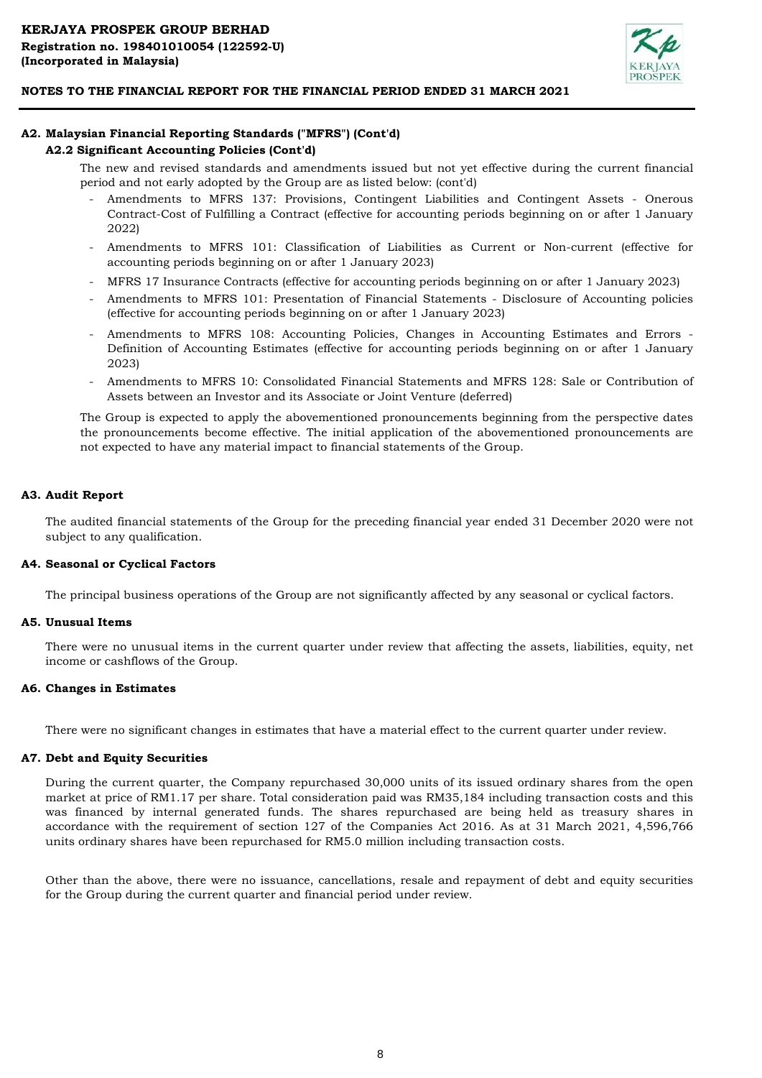

# **A2. Malaysian Financial Reporting Standards ("MFRS") (Cont'd)**

## **A2.2 Significant Accounting Policies (Cont'd)**

The new and revised standards and amendments issued but not yet effective during the current financial period and not early adopted by the Group are as listed below: (cont'd)

- Amendments to MFRS 137: Provisions, Contingent Liabilities and Contingent Assets - Onerous Contract-Cost of Fulfilling a Contract (effective for accounting periods beginning on or after 1 January 2022)
- Amendments to MFRS 101: Classification of Liabilities as Current or Non-current (effective for accounting periods beginning on or after 1 January 2023)
- MFRS 17 Insurance Contracts (effective for accounting periods beginning on or after 1 January 2023)
- Amendments to MFRS 101: Presentation of Financial Statements - Disclosure of Accounting policies (effective for accounting periods beginning on or after 1 January 2023)
- Amendments to MFRS 108: Accounting Policies, Changes in Accounting Estimates and Errors - Definition of Accounting Estimates (effective for accounting periods beginning on or after 1 January 2023)
- Amendments to MFRS 10: Consolidated Financial Statements and MFRS 128: Sale or Contribution of Assets between an Investor and its Associate or Joint Venture (deferred)

The Group is expected to apply the abovementioned pronouncements beginning from the perspective dates the pronouncements become effective. The initial application of the abovementioned pronouncements are not expected to have any material impact to financial statements of the Group.

## **A3. Audit Report**

The audited financial statements of the Group for the preceding financial year ended 31 December 2020 were not subject to any qualification.

#### **A4. Seasonal or Cyclical Factors**

The principal business operations of the Group are not significantly affected by any seasonal or cyclical factors.

#### **A5. Unusual Items**

There were no unusual items in the current quarter under review that affecting the assets, liabilities, equity, net income or cashflows of the Group.

#### **A6. Changes in Estimates**

There were no significant changes in estimates that have a material effect to the current quarter under review.

#### **A7. Debt and Equity Securities**

During the current quarter, the Company repurchased 30,000 units of its issued ordinary shares from the open market at price of RM1.17 per share. Total consideration paid was RM35,184 including transaction costs and this was financed by internal generated funds. The shares repurchased are being held as treasury shares in accordance with the requirement of section 127 of the Companies Act 2016. As at 31 March 2021, 4,596,766 units ordinary shares have been repurchased for RM5.0 million including transaction costs.

Other than the above, there were no issuance, cancellations, resale and repayment of debt and equity securities for the Group during the current quarter and financial period under review.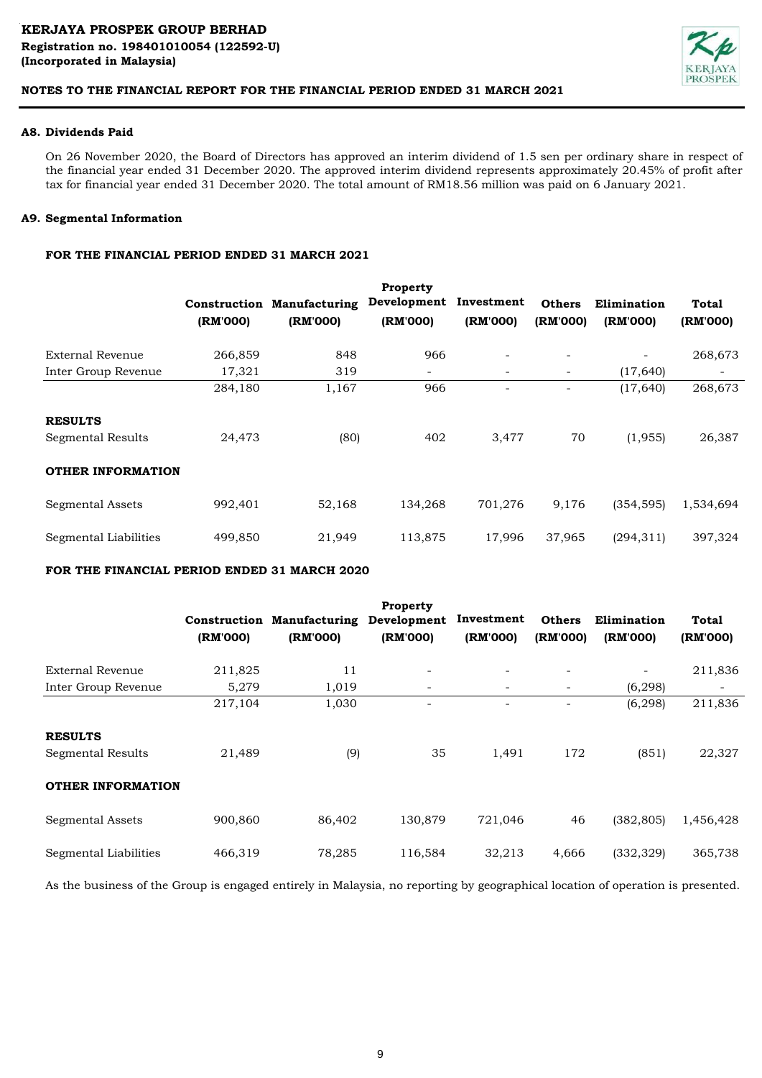

## **A8. Dividends Paid**

On 26 November 2020, the Board of Directors has approved an interim dividend of 1.5 sen per ordinary share in respect of the financial year ended 31 December 2020. The approved interim dividend represents approximately 20.45% of profit after tax for financial year ended 31 December 2020. The total amount of RM18.56 million was paid on 6 January 2021.

## **A9. Segmental Information**

## **FOR THE FINANCIAL PERIOD ENDED 31 MARCH 2021**

|                                     | (RM'000) | <b>Construction Manufacturing</b><br>(RM'000) | <b>Property</b><br>Development<br>(RM'000) | Investment<br>(RM'000)   | <b>Others</b><br>(RM'000) | Elimination<br>(RM'000) | Total<br>(RM'000) |
|-------------------------------------|----------|-----------------------------------------------|--------------------------------------------|--------------------------|---------------------------|-------------------------|-------------------|
| External Revenue                    | 266,859  | 848                                           | 966                                        |                          | ۰                         | ۰.                      | 268,673           |
| Inter Group Revenue                 | 17,321   | 319                                           | -                                          | $\overline{\phantom{a}}$ | $\overline{\phantom{a}}$  | (17, 640)               |                   |
|                                     | 284,180  | 1,167                                         | 966                                        |                          |                           | (17, 640)               | 268,673           |
| <b>RESULTS</b><br>Segmental Results | 24,473   | (80)                                          | 402                                        | 3,477                    | 70                        | (1,955)                 | 26,387            |
| <b>OTHER INFORMATION</b>            |          |                                               |                                            |                          |                           |                         |                   |
| <b>Segmental Assets</b>             | 992,401  | 52,168                                        | 134,268                                    | 701,276                  | 9,176                     | (354, 595)              | 1,534,694         |
| Segmental Liabilities               | 499,850  | 21,949                                        | 113,875                                    | 17,996                   | 37,965                    | (294, 311)              | 397,324           |

## **FOR THE FINANCIAL PERIOD ENDED 31 MARCH 2020**

|                          | (RM'000) | <b>Construction Manufacturing</b><br>(RM'000) | <b>Property</b><br>Development<br>(RM'000) | Investment<br>(RM'000) | <b>Others</b><br>(RM'000) | Elimination<br>(RM'000) | Total<br>(RM'000) |
|--------------------------|----------|-----------------------------------------------|--------------------------------------------|------------------------|---------------------------|-------------------------|-------------------|
| External Revenue         | 211,825  | 11                                            | $\overline{\phantom{a}}$                   |                        |                           | $\overline{a}$          | 211,836           |
| Inter Group Revenue      | 5,279    | 1,019                                         | $\overline{\phantom{a}}$                   |                        | -                         | (6, 298)                |                   |
|                          | 217,104  | 1,030                                         |                                            |                        |                           | (6, 298)                | 211,836           |
| <b>RESULTS</b>           |          |                                               |                                            |                        |                           |                         |                   |
| Segmental Results        | 21,489   | (9)                                           | 35                                         | 1,491                  | 172                       | (851)                   | 22,327            |
| <b>OTHER INFORMATION</b> |          |                                               |                                            |                        |                           |                         |                   |
| Segmental Assets         | 900,860  | 86,402                                        | 130,879                                    | 721,046                | 46                        | (382, 805)              | 1,456,428         |
| Segmental Liabilities    | 466,319  | 78,285                                        | 116,584                                    | 32,213                 | 4,666                     | (332, 329)              | 365,738           |

As the business of the Group is engaged entirely in Malaysia, no reporting by geographical location of operation is presented.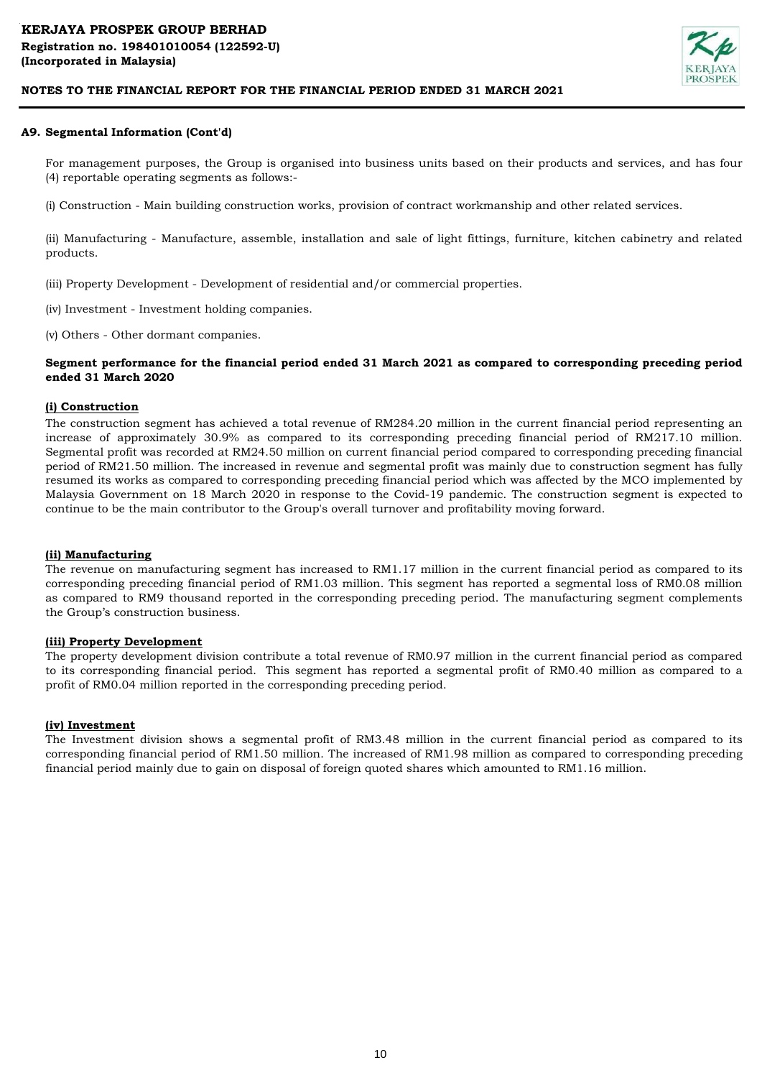

#### **A9. Segmental Information (Cont'd)**

For management purposes, the Group is organised into business units based on their products and services, and has four (4) reportable operating segments as follows:-

(i) Construction - Main building construction works, provision of contract workmanship and other related services.

(ii) Manufacturing - Manufacture, assemble, installation and sale of light fittings, furniture, kitchen cabinetry and related products.

(iii) Property Development - Development of residential and/or commercial properties.

(iv) Investment - Investment holding companies.

(v) Others - Other dormant companies.

#### **Segment performance for the financial period ended 31 March 2021 as compared to corresponding preceding period ended 31 March 2020**

#### **(i) Construction**

The construction segment has achieved a total revenue of RM284.20 million in the current financial period representing an increase of approximately 30.9% as compared to its corresponding preceding financial period of RM217.10 million. Segmental profit was recorded at RM24.50 million on current financial period compared to corresponding preceding financial period of RM21.50 million. The increased in revenue and segmental profit was mainly due to construction segment has fully resumed its works as compared to corresponding preceding financial period which was affected by the MCO implemented by Malaysia Government on 18 March 2020 in response to the Covid-19 pandemic. The construction segment is expected to continue to be the main contributor to the Group's overall turnover and profitability moving forward.

#### **(ii) Manufacturing**

The revenue on manufacturing segment has increased to RM1.17 million in the current financial period as compared to its corresponding preceding financial period of RM1.03 million. This segment has reported a segmental loss of RM0.08 million as compared to RM9 thousand reported in the corresponding preceding period. The manufacturing segment complements the Group's construction business.

#### **(iii) Property Development**

The property development division contribute a total revenue of RM0.97 million in the current financial period as compared to its corresponding financial period. This segment has reported a segmental profit of RM0.40 million as compared to a profit of RM0.04 million reported in the corresponding preceding period.

#### **(iv) Investment**

The Investment division shows a segmental profit of RM3.48 million in the current financial period as compared to its corresponding financial period of RM1.50 million. The increased of RM1.98 million as compared to corresponding preceding financial period mainly due to gain on disposal of foreign quoted shares which amounted to RM1.16 million.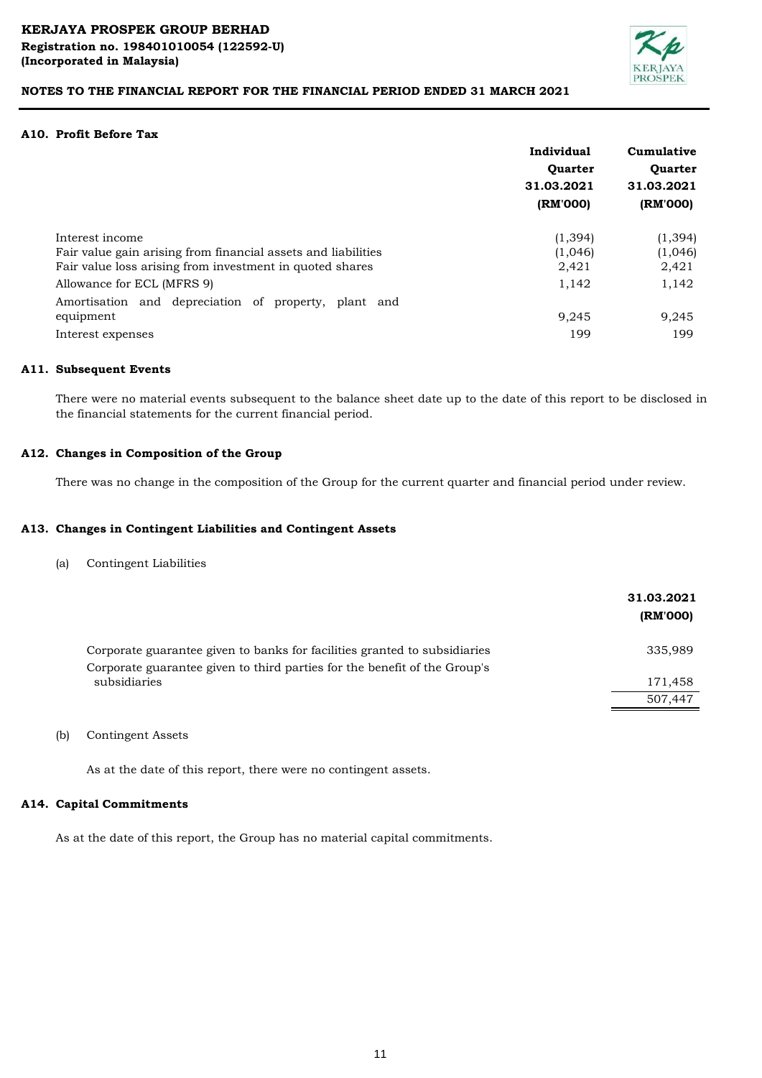

#### **A10. Profit Before Tax**

|                                                               | Individual     | Cumulative     |  |
|---------------------------------------------------------------|----------------|----------------|--|
|                                                               | <b>Quarter</b> | <b>Ouarter</b> |  |
|                                                               | 31.03.2021     | 31.03.2021     |  |
|                                                               | (RM'000)       | (RM'000)       |  |
| Interest income                                               | (1, 394)       | (1, 394)       |  |
| Fair value gain arising from financial assets and liabilities | (1,046)        | (1,046)        |  |
| Fair value loss arising from investment in quoted shares      | 2,421          | 2,421          |  |
| Allowance for ECL (MFRS 9)                                    | 1,142          | 1,142          |  |
| Amortisation and depreciation of property, plant and          |                |                |  |
| equipment                                                     | 9.245          | 9,245          |  |
| Interest expenses                                             | 199            | 199            |  |

#### **A11. Subsequent Events**

There were no material events subsequent to the balance sheet date up to the date of this report to be disclosed in the financial statements for the current financial period.

## **A12. Changes in Composition of the Group**

There was no change in the composition of the Group for the current quarter and financial period under review.

## **A13. Changes in Contingent Liabilities and Contingent Assets**

(a) Contingent Liabilities

|                                                                                                                                                        | 31.03.2021<br>(RM'000) |
|--------------------------------------------------------------------------------------------------------------------------------------------------------|------------------------|
| Corporate guarantee given to banks for facilities granted to subsidiaries<br>Corporate guarantee given to third parties for the benefit of the Group's | 335,989                |
| subsidiaries                                                                                                                                           | 171.458                |
|                                                                                                                                                        | 507,447                |
|                                                                                                                                                        |                        |

(b) Contingent Assets

As at the date of this report, there were no contingent assets.

#### **A14. Capital Commitments**

As at the date of this report, the Group has no material capital commitments.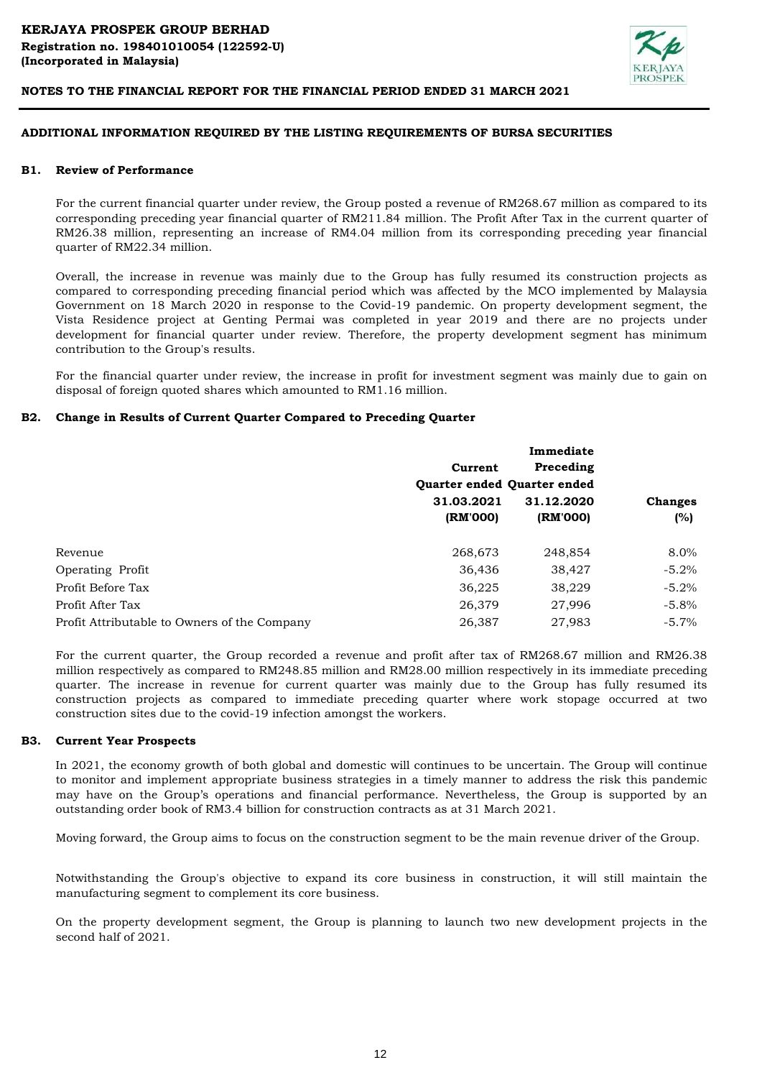

# **ADDITIONAL INFORMATION REQUIRED BY THE LISTING REQUIREMENTS OF BURSA SECURITIES**

#### **B1. Review of Performance**

For the current financial quarter under review, the Group posted a revenue of RM268.67 million as compared to its corresponding preceding year financial quarter of RM211.84 million. The Profit After Tax in the current quarter of RM26.38 million, representing an increase of RM4.04 million from its corresponding preceding year financial quarter of RM22.34 million.

Overall, the increase in revenue was mainly due to the Group has fully resumed its construction projects as compared to corresponding preceding financial period which was affected by the MCO implemented by Malaysia Government on 18 March 2020 in response to the Covid-19 pandemic. On property development segment, the Vista Residence project at Genting Permai was completed in year 2019 and there are no projects under development for financial quarter under review. Therefore, the property development segment has minimum contribution to the Group's results.

For the financial quarter under review, the increase in profit for investment segment was mainly due to gain on disposal of foreign quoted shares which amounted to RM1.16 million.

#### **B2. Change in Results of Current Quarter Compared to Preceding Quarter**

|                                              |                                    | Immediate      |          |
|----------------------------------------------|------------------------------------|----------------|----------|
|                                              | Current                            | Preceding      |          |
|                                              | <b>Ouarter ended Ouarter ended</b> |                |          |
|                                              | 31.03.2021                         | <b>Changes</b> |          |
|                                              | (RM'000)                           | (RM'000)       | (%)      |
| Revenue                                      | 268,673                            | 248,854        | $8.0\%$  |
| Operating Profit                             | 36,436                             | 38,427         | $-5.2\%$ |
| Profit Before Tax                            | 36,225                             | 38,229         | $-5.2\%$ |
| Profit After Tax                             | 26,379                             | 27,996         | $-5.8\%$ |
| Profit Attributable to Owners of the Company | 26,387                             | 27,983         | $-5.7\%$ |

For the current quarter, the Group recorded a revenue and profit after tax of RM268.67 million and RM26.38 million respectively as compared to RM248.85 million and RM28.00 million respectively in its immediate preceding quarter. The increase in revenue for current quarter was mainly due to the Group has fully resumed its construction projects as compared to immediate preceding quarter where work stopage occurred at two construction sites due to the covid-19 infection amongst the workers.

#### **B3. Current Year Prospects**

In 2021, the economy growth of both global and domestic will continues to be uncertain. The Group will continue to monitor and implement appropriate business strategies in a timely manner to address the risk this pandemic may have on the Group's operations and financial performance. Nevertheless, the Group is supported by an outstanding order book of RM3.4 billion for construction contracts as at 31 March 2021.

Moving forward, the Group aims to focus on the construction segment to be the main revenue driver of the Group.

Notwithstanding the Group's objective to expand its core business in construction, it will still maintain the manufacturing segment to complement its core business.

On the property development segment, the Group is planning to launch two new development projects in the second half of 2021.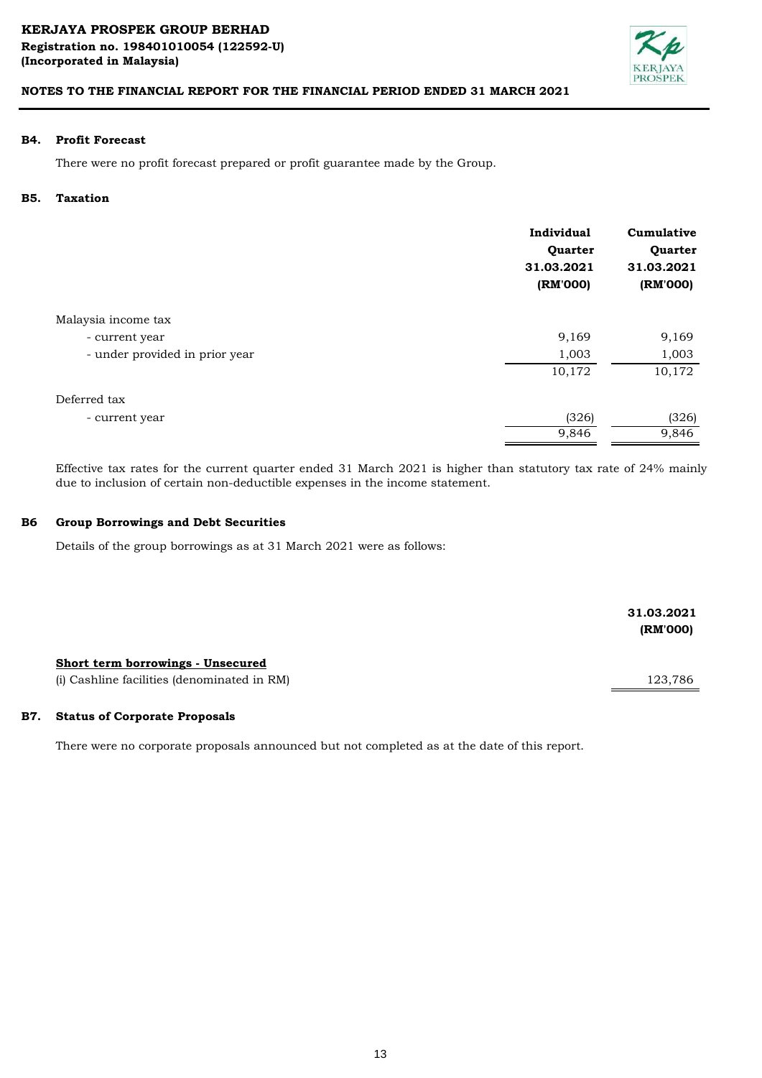

#### **B4. Profit Forecast**

There were no profit forecast prepared or profit guarantee made by the Group.

#### **B5. Taxation**

|                                | Individual<br>Quarter<br>31.03.2021<br>(RM'000) | Cumulative<br>Quarter<br>31.03.2021<br>(RM'000) |  |
|--------------------------------|-------------------------------------------------|-------------------------------------------------|--|
| Malaysia income tax            |                                                 |                                                 |  |
| - current year                 | 9,169                                           | 9,169                                           |  |
| - under provided in prior year | 1,003                                           | 1,003                                           |  |
|                                | 10,172                                          | 10,172                                          |  |
| Deferred tax                   |                                                 |                                                 |  |
| - current year                 | (326)                                           | (326)                                           |  |
|                                | 9,846                                           | 9,846                                           |  |

Effective tax rates for the current quarter ended 31 March 2021 is higher than statutory tax rate of 24% mainly due to inclusion of certain non-deductible expenses in the income statement.

#### **B6 Group Borrowings and Debt Securities**

Details of the group borrowings as at 31 March 2021 were as follows:

|                                             | 31.03.2021<br>(RM'000) |
|---------------------------------------------|------------------------|
| Short term borrowings - Unsecured           |                        |
| (i) Cashline facilities (denominated in RM) | 123,786                |
| Statue of Cornorate Pronosals               |                        |

#### **B7. Status of Corporate Proposals**

There were no corporate proposals announced but not completed as at the date of this report.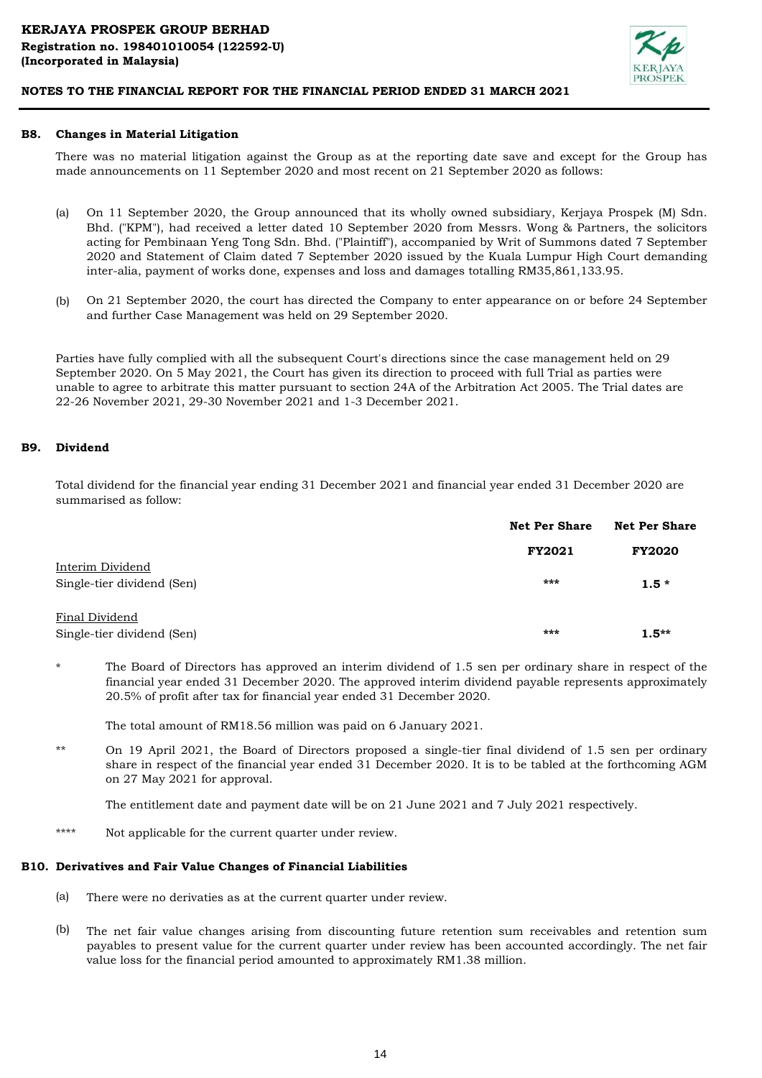

## **B8. Changes in Material Litigation**

There was no material litigation against the Group as at the reporting date save and except for the Group has made announcements on 11 September 2020 and most recent on 21 September 2020 as follows:

- (a) On 11 September 2020, the Group announced that its wholly owned subsidiary, Kerjaya Prospek (M) Sdn. Bhd. ("KPM"), had received a letter dated 10 September 2020 from Messrs. Wong & Partners, the solicitors acting for Pembinaan Yeng Tong Sdn. Bhd. ("Plaintiff"), accompanied by Writ of Summons dated 7 September 2020 and Statement of Claim dated 7 September 2020 issued by the Kuala Lumpur High Court demanding inter-alia, payment of works done, expenses and loss and damages totalling RM35,861,133.95.
- (b) On 21 September 2020, the court has directed the Company to enter appearance on or before 24 September and further Case Management was held on 29 September 2020.

Parties have fully complied with all the subsequent Court's directions since the case management held on 29 September 2020. On 5 May 2021, the Court has given its direction to proceed with full Trial as parties were unable to agree to arbitrate this matter pursuant to section 24A of the Arbitration Act 2005. The Trial dates are 22-26 November 2021, 29-30 November 2021 and 1-3 December 2021.

#### **B9. Dividend**

Total dividend for the financial year ending 31 December 2021 and financial year ended 31 December 2020 are summarised as follow:

|                            | <b>Net Per Share</b> | <b>Net Per Share</b> |  |
|----------------------------|----------------------|----------------------|--|
|                            | <b>FY2021</b>        | <b>FY2020</b>        |  |
| Interim Dividend           |                      |                      |  |
| Single-tier dividend (Sen) | ***                  | $1.5*$               |  |
| Final Dividend             |                      |                      |  |
| Single-tier dividend (Sen) | ***                  | $1.5***$             |  |

\* The Board of Directors has approved an interim dividend of 1.5 sen per ordinary share in respect of the financial year ended 31 December 2020. The approved interim dividend payable represents approximately 20.5% of profit after tax for financial year ended 31 December 2020.

The total amount of RM18.56 million was paid on 6 January 2021.

\*\* On 19 April 2021, the Board of Directors proposed a single-tier final dividend of 1.5 sen per ordinary share in respect of the financial year ended 31 December 2020. It is to be tabled at the forthcoming AGM on 27 May 2021 for approval.

The entitlement date and payment date will be on 21 June 2021 and 7 July 2021 respectively.

\*\*\*\* Not applicable for the current quarter under review.

#### **B10. Derivatives and Fair Value Changes of Financial Liabilities**

- (a) There were no derivaties as at the current quarter under review.
- (b) The net fair value changes arising from discounting future retention sum receivables and retention sum payables to present value for the current quarter under review has been accounted accordingly. The net fair value loss for the financial period amounted to approximately RM1.38 million.